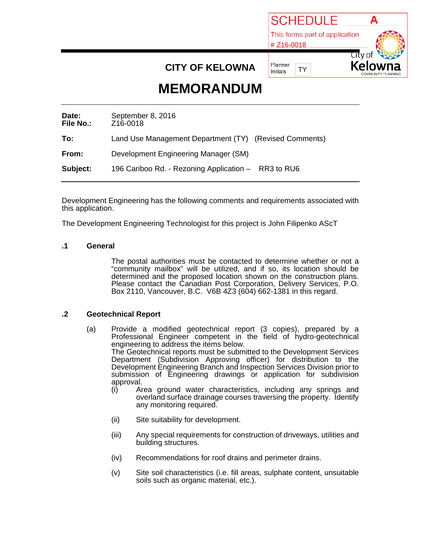

# **CITY OF KELOWNA**

# **MEMORANDUM**

| Date:<br><b>File No.:</b> | September 8, 2016<br>Z16-0018                          |
|---------------------------|--------------------------------------------------------|
| To:                       | Land Use Management Department (TY) (Revised Comments) |
| From:                     | Development Engineering Manager (SM)                   |
| Subject:                  | 196 Cariboo Rd. - Rezoning Application - RR3 to RU6    |

Development Engineering has the following comments and requirements associated with this application.

The Development Engineering Technologist for this project is John Filipenko AScT

### **.1 General**

The postal authorities must be contacted to determine whether or not a "community mailbox" will be utilized, and if so, its location should be determined and the proposed location shown on the construction plans. Please contact the Canadian Post Corporation, Delivery Services, P.O. Box 2110, Vancouver, B.C. V6B 4Z3 (604) 662-1381 in this regard.

#### **.2 Geotechnical Report**

- (a) Provide a modified geotechnical report (3 copies), prepared by a Professional Engineer competent in the field of hydro-geotechnical engineering to address the items below. The Geotechnical reports must be submitted to the Development Services Department (Subdivision Approving officer) for distribution to the Development Engineering Branch and Inspection Services Division prior to submission of Engineering drawings or application for subdivision approval.
	- (i) Area ground water characteristics, including any springs and overland surface drainage courses traversing the property. Identify any monitoring required.
	- (ii) Site suitability for development.
	- (iii) Any special requirements for construction of driveways, utilities and building structures.
	- (iv) Recommendations for roof drains and perimeter drains.
	- (v) Site soil characteristics (i.e. fill areas, sulphate content, unsuitable soils such as organic material, etc.).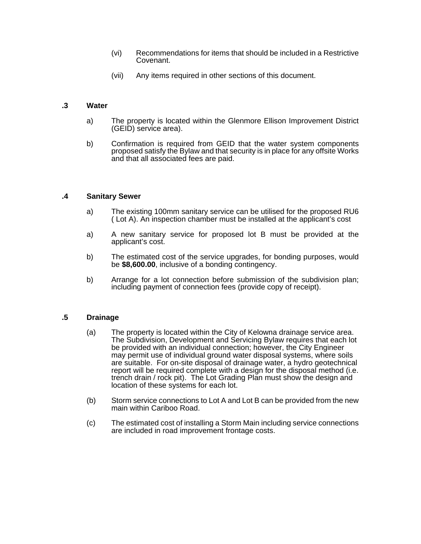- (vi) Recommendations for items that should be included in a Restrictive Covenant.
- (vii) Any items required in other sections of this document.

#### **.3 Water**

- a) The property is located within the Glenmore Ellison Improvement District (GEID) service area).
- b) Confirmation is required from GEID that the water system components proposed satisfy the Bylaw and that security is in place for any offsite Works and that all associated fees are paid.

#### **.4 Sanitary Sewer**

- a) The existing 100mm sanitary service can be utilised for the proposed RU6 ( Lot A). An inspection chamber must be installed at the applicant's cost
- a) A new sanitary service for proposed lot B must be provided at the applicant's cost.
- b) The estimated cost of the service upgrades, for bonding purposes, would be **\$8,600.00**, inclusive of a bonding contingency.
- b) Arrange for a lot connection before submission of the subdivision plan; including payment of connection fees (provide copy of receipt).

# **.5 Drainage**

- (a) The property is located within the City of Kelowna drainage service area. The Subdivision, Development and Servicing Bylaw requires that each lot be provided with an individual connection; however, the City Engineer may permit use of individual ground water disposal systems, where soils are suitable. For on-site disposal of drainage water, a hydro geotechnical report will be required complete with a design for the disposal method (i.e. trench drain / rock pit). The Lot Grading Plan must show the design and location of these systems for each lot.
- (b) Storm service connections to Lot A and Lot B can be provided from the new main within Cariboo Road.
- (c) The estimated cost of installing a Storm Main including service connections are included in road improvement frontage costs.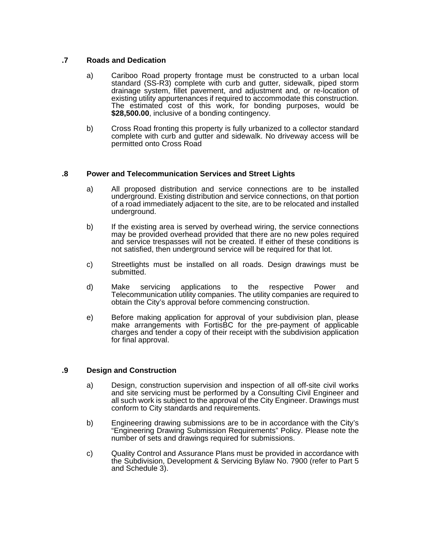#### **.7 Roads and Dedication**

- a) Cariboo Road property frontage must be constructed to a urban local standard (SS-R3) complete with curb and gutter, sidewalk, piped storm drainage system, fillet pavement, and adjustment and, or re-location of existing utility appurtenances if required to accommodate this construction. The estimated cost of this work, for bonding purposes, would be **\$28,500.00**, inclusive of a bonding contingency.
- b) Cross Road fronting this property is fully urbanized to a collector standard complete with curb and gutter and sidewalk. No driveway access will be permitted onto Cross Road

#### **.8 Power and Telecommunication Services and Street Lights**

- a) All proposed distribution and service connections are to be installed underground. Existing distribution and service connections, on that portion of a road immediately adjacent to the site, are to be relocated and installed underground.
- b) If the existing area is served by overhead wiring, the service connections may be provided overhead provided that there are no new poles required and service trespasses will not be created. If either of these conditions is not satisfied, then underground service will be required for that lot.
- c) Streetlights must be installed on all roads. Design drawings must be submitted.
- d) Make servicing applications to the respective Power and Telecommunication utility companies. The utility companies are required to obtain the City's approval before commencing construction.
- e) Before making application for approval of your subdivision plan, please make arrangements with FortisBC for the pre-payment of applicable charges and tender a copy of their receipt with the subdivision application for final approval.

#### **.9 Design and Construction**

- a) Design, construction supervision and inspection of all off-site civil works and site servicing must be performed by a Consulting Civil Engineer and all such work is subject to the approval of the City Engineer. Drawings must conform to City standards and requirements.
- b) Engineering drawing submissions are to be in accordance with the City's "Engineering Drawing Submission Requirements" Policy. Please note the number of sets and drawings required for submissions.
- c) Quality Control and Assurance Plans must be provided in accordance with the Subdivision, Development & Servicing Bylaw No. 7900 (refer to Part 5 and Schedule 3).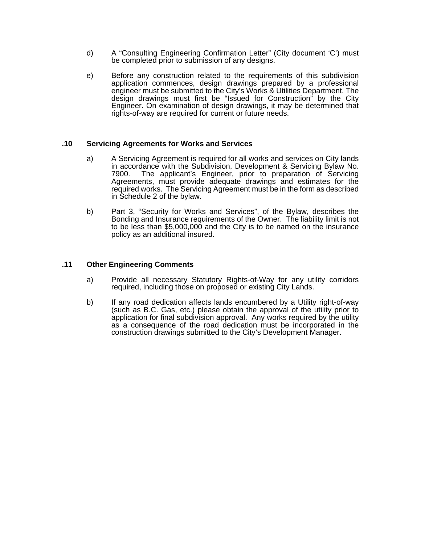- d) A "Consulting Engineering Confirmation Letter" (City document 'C') must be completed prior to submission of any designs.
- e) Before any construction related to the requirements of this subdivision application commences, design drawings prepared by a professional engineer must be submitted to the City's Works & Utilities Department. The design drawings must first be "Issued for Construction" by the City Engineer. On examination of design drawings, it may be determined that rights-of-way are required for current or future needs.

#### **.10 Servicing Agreements for Works and Services**

- a) A Servicing Agreement is required for all works and services on City lands in accordance with the Subdivision, Development & Servicing Bylaw No. 7900. The applicant's Engineer, prior to preparation of Servicing Agreements, must provide adequate drawings and estimates for the required works. The Servicing Agreement must be in the form as described in Schedule 2 of the bylaw.
- b) Part 3, "Security for Works and Services", of the Bylaw, describes the Bonding and Insurance requirements of the Owner. The liability limit is not to be less than \$5,000,000 and the City is to be named on the insurance policy as an additional insured.

#### **.11 Other Engineering Comments**

- a) Provide all necessary Statutory Rights-of-Way for any utility corridors required, including those on proposed or existing City Lands.
- b) If any road dedication affects lands encumbered by a Utility right-of-way (such as B.C. Gas, etc.) please obtain the approval of the utility prior to application for final subdivision approval. Any works required by the utility as a consequence of the road dedication must be incorporated in the construction drawings submitted to the City's Development Manager.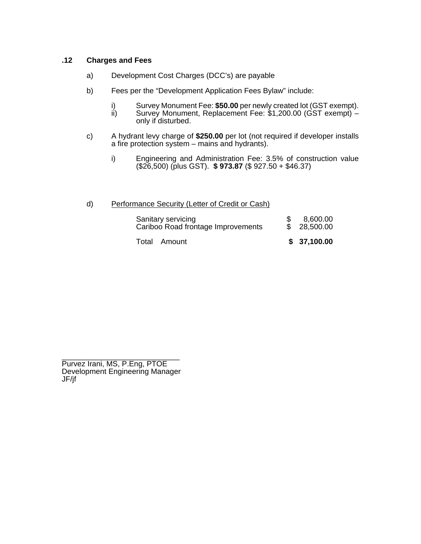# **.12 Charges and Fees**

- a) Development Cost Charges (DCC's) are payable
- b) Fees per the "Development Application Fees Bylaw" include:
	- i) Survey Monument Fee: \$50.00 per newly created lot (GST exempt).<br>ii) Survey Monument, Replacement Fee: \$1,200.00 (GST exempt) –
	- Survey Monument, Replacement Fee: \$1,200.00 (GST exempt) only if disturbed.
- c) A hydrant levy charge of **\$250.00** per lot (not required if developer installs a fire protection system – mains and hydrants).
	- i) Engineering and Administration Fee: 3.5% of construction value (\$26,500) (plus GST). **\$ 973.87** (\$ 927.50 + \$46.37)

# d) Performance Security (Letter of Credit or Cash)

| Sanitary servicing<br>Cariboo Road frontage Improvements | 8,600.00<br>\$28,500.00 |
|----------------------------------------------------------|-------------------------|
| Total Amount                                             | \$37,100.00             |

\_\_\_\_\_\_\_\_\_\_\_\_\_\_\_\_\_\_\_\_\_\_\_\_\_\_\_\_ Purvez Irani, MS, P.Eng, PTOE Development Engineering Manager JF/jf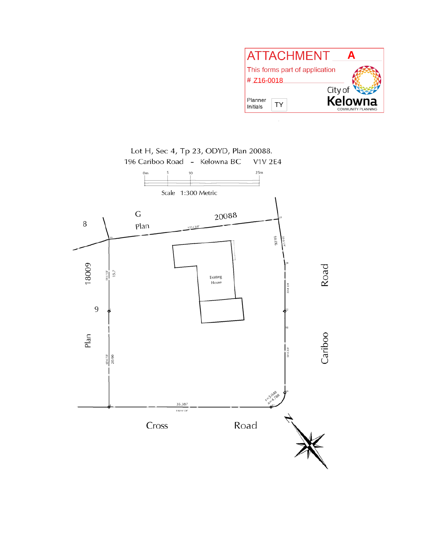